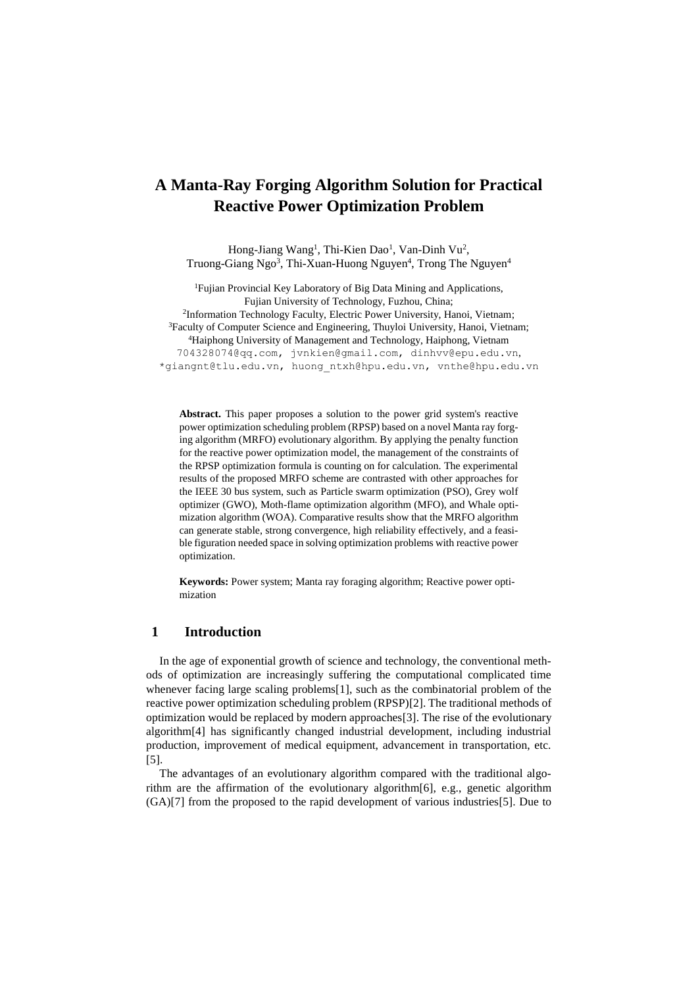# **A Manta-Ray Forging Algorithm Solution for Practical Reactive Power Optimization Problem**

Hong-Jiang Wang<sup>1</sup>, Thi-Kien Dao<sup>1</sup>, Van-Dinh Vu<sup>2</sup>, Truong-Giang Ngo<sup>3</sup>, Thi-Xuan-Huong Nguyen<sup>4</sup>, Trong The Nguyen<sup>4</sup>

<sup>1</sup>Fujian Provincial Key Laboratory of Big Data Mining and Applications, Fujian University of Technology, Fuzhou, China; <sup>2</sup>Information Technology Faculty, Electric Power University, Hanoi, Vietnam; <sup>3</sup>Faculty of Computer Science and Engineering, Thuyloi University, Hanoi, Vietnam; <sup>4</sup>Haiphong University of Management and Technology, Haiphong, Vietnam [704328074@qq.com, jvnkien@gmail.com,](mailto:704328074@qq.com,%20j) [dinhvv@epu.edu.vn](mailto:dinhvv@epu.edu.vn), [\\*giangnt@tlu.edu.vn,](mailto:*giangnt@tlu.edu.vn) [huong\\_ntxh@hpu.edu.vn,](mailto:huong_ntxh@hpu.edu.vn) vnthe@hpu.edu.vn

**Abstract.** This paper proposes a solution to the power grid system's reactive power optimization scheduling problem (RPSP) based on a novel Manta ray forging algorithm (MRFO) evolutionary algorithm. By applying the penalty function for the reactive power optimization model, the management of the constraints of the RPSP optimization formula is counting on for calculation. The experimental results of the proposed MRFO scheme are contrasted with other approaches for the IEEE 30 bus system, such as Particle swarm optimization (PSO), Grey wolf optimizer (GWO), Moth-flame optimization algorithm (MFO), and Whale optimization algorithm (WOA). Comparative results show that the MRFO algorithm can generate stable, strong convergence, high reliability effectively, and a feasible figuration needed space in solving optimization problems with reactive power optimization.

**Keywords:** Power system; Manta ray foraging algorithm; Reactive power optimization

## **1 Introduction**

In the age of exponential growth of science and technology, the conventional methods of optimization are increasingly suffering the computational complicated time whenever facing large scaling problems[1], such as the combinatorial problem of the reactive power optimization scheduling problem (RPSP)[2]. The traditional methods of optimization would be replaced by modern approaches[3]. The rise of the evolutionary algorithm[4] has significantly changed industrial development, including industrial production, improvement of medical equipment, advancement in transportation, etc. [5].

The advantages of an evolutionary algorithm compared with the traditional algorithm are the affirmation of the evolutionary algorithm[6], e.g., genetic algorithm (GA)[7] from the proposed to the rapid development of various industries[5]. Due to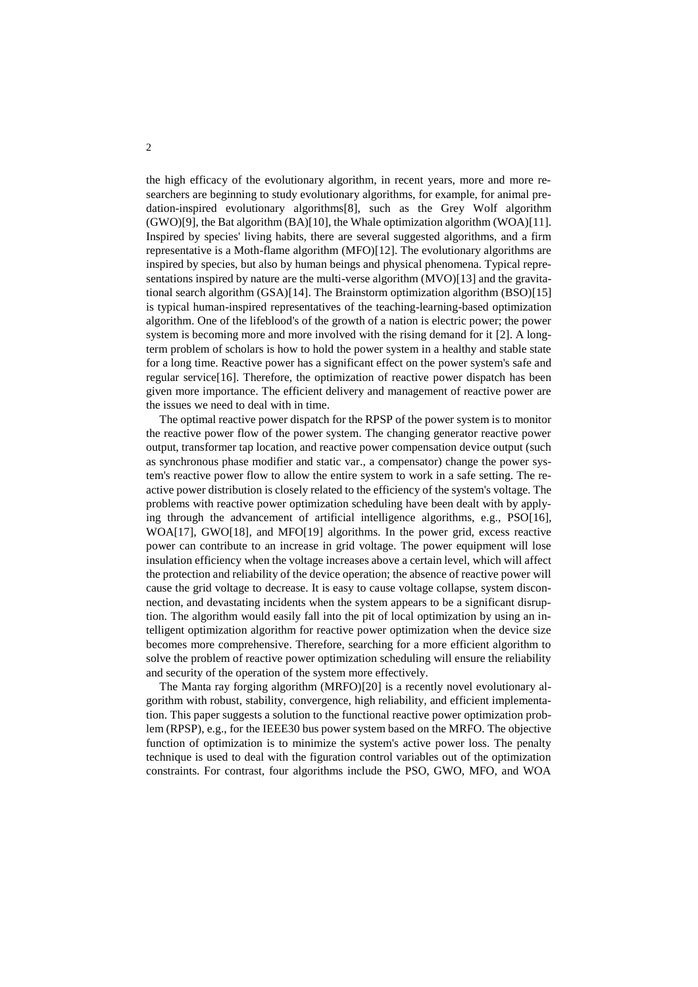the high efficacy of the evolutionary algorithm, in recent years, more and more researchers are beginning to study evolutionary algorithms, for example, for animal predation-inspired evolutionary algorithms[8], such as the Grey Wolf algorithm (GWO)[9], the Bat algorithm (BA)[10], the Whale optimization algorithm (WOA)[11]. Inspired by species' living habits, there are several suggested algorithms, and a firm representative is a Moth-flame algorithm (MFO)[12]. The evolutionary algorithms are inspired by species, but also by human beings and physical phenomena. Typical representations inspired by nature are the multi-verse algorithm (MVO)[13] and the gravitational search algorithm (GSA)[14]. The Brainstorm optimization algorithm (BSO)[15] is typical human-inspired representatives of the teaching-learning-based optimization algorithm. One of the lifeblood's of the growth of a nation is electric power; the power system is becoming more and more involved with the rising demand for it [2]. A longterm problem of scholars is how to hold the power system in a healthy and stable state for a long time. Reactive power has a significant effect on the power system's safe and regular service[16]. Therefore, the optimization of reactive power dispatch has been given more importance. The efficient delivery and management of reactive power are the issues we need to deal with in time.

The optimal reactive power dispatch for the RPSP of the power system is to monitor the reactive power flow of the power system. The changing generator reactive power output, transformer tap location, and reactive power compensation device output (such as synchronous phase modifier and static var., a compensator) change the power system's reactive power flow to allow the entire system to work in a safe setting. The reactive power distribution is closely related to the efficiency of the system's voltage. The problems with reactive power optimization scheduling have been dealt with by applying through the advancement of artificial intelligence algorithms, e.g., PSO[16], WOA[17], GWO[18], and MFO[19] algorithms. In the power grid, excess reactive power can contribute to an increase in grid voltage. The power equipment will lose insulation efficiency when the voltage increases above a certain level, which will affect the protection and reliability of the device operation; the absence of reactive power will cause the grid voltage to decrease. It is easy to cause voltage collapse, system disconnection, and devastating incidents when the system appears to be a significant disruption. The algorithm would easily fall into the pit of local optimization by using an intelligent optimization algorithm for reactive power optimization when the device size becomes more comprehensive. Therefore, searching for a more efficient algorithm to solve the problem of reactive power optimization scheduling will ensure the reliability and security of the operation of the system more effectively.

The Manta ray forging algorithm (MRFO)[20] is a recently novel evolutionary algorithm with robust, stability, convergence, high reliability, and efficient implementation. This paper suggests a solution to the functional reactive power optimization problem (RPSP), e.g., for the IEEE30 bus power system based on the MRFO. The objective function of optimization is to minimize the system's active power loss. The penalty technique is used to deal with the figuration control variables out of the optimization constraints. For contrast, four algorithms include the PSO, GWO, MFO, and WOA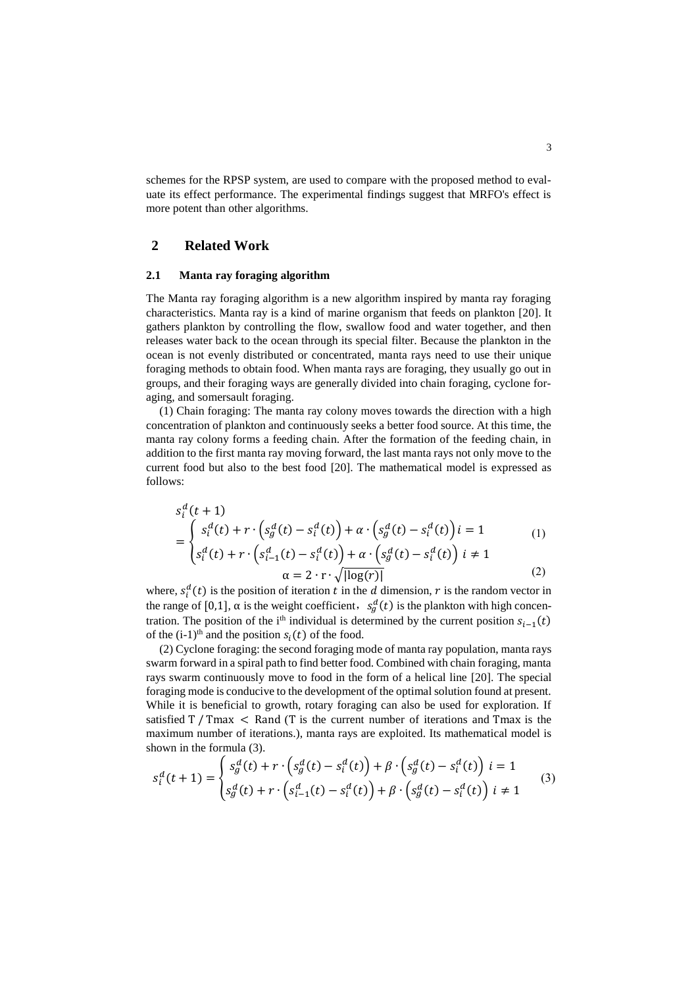schemes for the RPSP system, are used to compare with the proposed method to evaluate its effect performance. The experimental findings suggest that MRFO's effect is more potent than other algorithms.

### **2 Related Work**

#### **2.1 Manta ray foraging algorithm**

The Manta ray foraging algorithm is a new algorithm inspired by manta ray foraging characteristics. Manta ray is a kind of marine organism that feeds on plankton [20]. It gathers plankton by controlling the flow, swallow food and water together, and then releases water back to the ocean through its special filter. Because the plankton in the ocean is not evenly distributed or concentrated, manta rays need to use their unique foraging methods to obtain food. When manta rays are foraging, they usually go out in groups, and their foraging ways are generally divided into chain foraging, cyclone foraging, and somersault foraging.

(1) Chain foraging: The manta ray colony moves towards the direction with a high concentration of plankton and continuously seeks a better food source. At this time, the manta ray colony forms a feeding chain. After the formation of the feeding chain, in addition to the first manta ray moving forward, the last manta rays not only move to the current food but also to the best food [20]. The mathematical model is expressed as follows:

$$
s_i^d(t+1)
$$
  
= 
$$
\begin{cases} s_i^d(t) + r \cdot (s_g^d(t) - s_i^d(t)) + \alpha \cdot (s_g^d(t) - s_i^d(t)) i = 1 \\ s_i^d(t) + r \cdot (s_{i-1}^d(t) - s_i^d(t)) + \alpha \cdot (s_g^d(t) - s_i^d(t)) i \neq 1 \end{cases}
$$
(1)

$$
(t) + r \cdot \left(s_{i-1}^d(t) - s_i^d(t)\right) + \alpha \cdot \left(s_g^d(t) - s_i^d(t)\right) \quad i \neq 1
$$

$$
\alpha = 2 \cdot r \cdot \sqrt{|\log(r)|} \tag{2}
$$

where,  $s_i^d(t)$  is the position of iteration t in the d dimension, r is the random vector in the range of [0,1],  $\alpha$  is the weight coefficient,  $s_g^d(t)$  is the plankton with high concentration. The position of the i<sup>th</sup> individual is determined by the current position  $s_{i-1}(t)$ of the  $(i-1)$ <sup>th</sup> and the position  $s_i(t)$  of the food.

(2) Cyclone foraging: the second foraging mode of manta ray population, manta rays swarm forward in a spiral path to find better food. Combined with chain foraging, manta rays swarm continuously move to food in the form of a helical line [20]. The special foraging mode is conducive to the development of the optimal solution found at present. While it is beneficial to growth, rotary foraging can also be used for exploration. If satisfied  $T / Tmax <$ Rand (T is the current number of iterations and Tmax is the maximum number of iterations.), manta rays are exploited. Its mathematical model is shown in the formula (3).

$$
s_i^d(t+1) = \begin{cases} s_g^d(t) + r \cdot (s_g^d(t) - s_i^d(t)) + \beta \cdot (s_g^d(t) - s_i^d(t)) \ i = 1\\ s_g^d(t) + r \cdot (s_{i-1}^d(t) - s_i^d(t)) + \beta \cdot (s_g^d(t) - s_i^d(t)) \ i \neq 1 \end{cases}
$$
(3)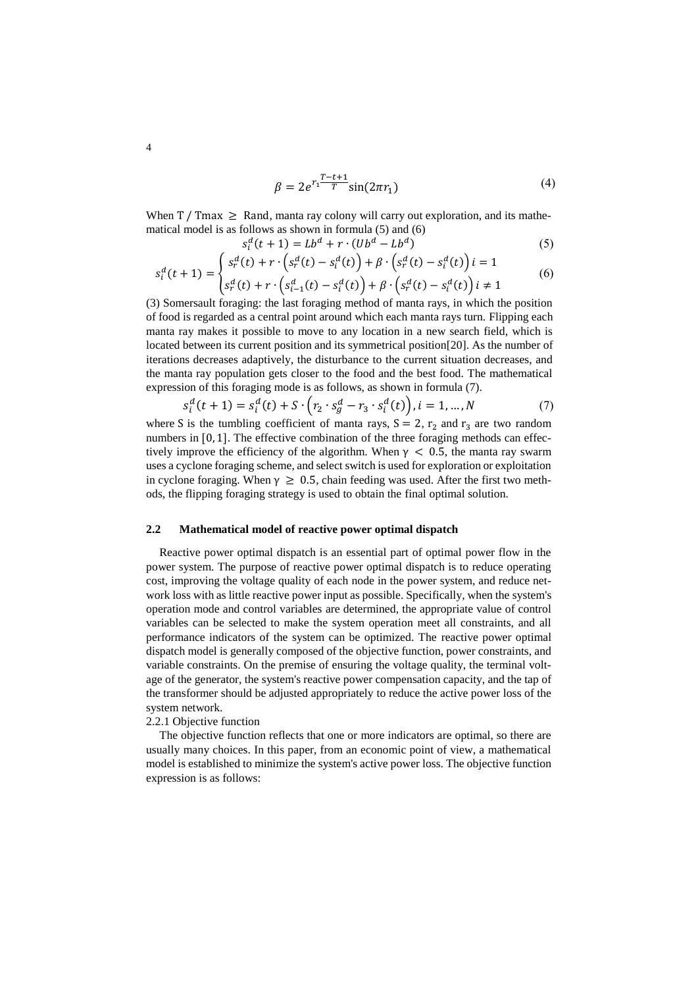$$
\beta = 2e^{r_1 \frac{T - t + 1}{T}} \sin(2\pi r_1)
$$
\n(4)

When  $T / Tmax \geq$  Rand, manta ray colony will carry out exploration, and its mathematical model is as follows as shown in formula (5) and (6)

$$
s_i^d(t+1) = Lb^d + r \cdot (Ub^d - Lb^d)
$$
 (5)

$$
s_i^d(t+1) = \begin{cases} s_r^d(t) + r \cdot (s_r^d(t) - s_i^d(t)) + \beta \cdot (s_r^d(t) - s_i^d(t)) i = 1\\ s_r^d(t) + r \cdot (s_{i-1}^d(t) - s_i^d(t)) + \beta \cdot (s_r^d(t) - s_i^d(t)) i \neq 1 \end{cases}
$$
(6)

(3) Somersault foraging: the last foraging method of manta rays, in which the position of food is regarded as a central point around which each manta rays turn. Flipping each manta ray makes it possible to move to any location in a new search field, which is located between its current position and its symmetrical position[20]. As the number of iterations decreases adaptively, the disturbance to the current situation decreases, and the manta ray population gets closer to the food and the best food. The mathematical expression of this foraging mode is as follows, as shown in formula (7).

$$
s_i^d(t+1) = s_i^d(t) + S \cdot (r_2 \cdot s_g^d - r_3 \cdot s_i^d(t)), i = 1, ..., N
$$
 (7)

where S is the tumbling coefficient of manta rays,  $S = 2$ ,  $r_2$  and  $r_3$  are two random numbers in [0, 1]. The effective combination of the three foraging methods can effectively improve the efficiency of the algorithm. When  $\gamma$  < 0.5, the manta ray swarm uses a cyclone foraging scheme, and select switch is used for exploration or exploitation in cyclone foraging. When  $\gamma \geq 0.5$ , chain feeding was used. After the first two methods, the flipping foraging strategy is used to obtain the final optimal solution.

#### **2.2 Mathematical model of reactive power optimal dispatch**

Reactive power optimal dispatch is an essential part of optimal power flow in the power system. The purpose of reactive power optimal dispatch is to reduce operating cost, improving the voltage quality of each node in the power system, and reduce network loss with as little reactive power input as possible. Specifically, when the system's operation mode and control variables are determined, the appropriate value of control variables can be selected to make the system operation meet all constraints, and all performance indicators of the system can be optimized. The reactive power optimal dispatch model is generally composed of the objective function, power constraints, and variable constraints. On the premise of ensuring the voltage quality, the terminal voltage of the generator, the system's reactive power compensation capacity, and the tap of the transformer should be adjusted appropriately to reduce the active power loss of the system network.

#### 2.2.1 Objective function

The objective function reflects that one or more indicators are optimal, so there are usually many choices. In this paper, from an economic point of view, a mathematical model is established to minimize the system's active power loss. The objective function expression is as follows: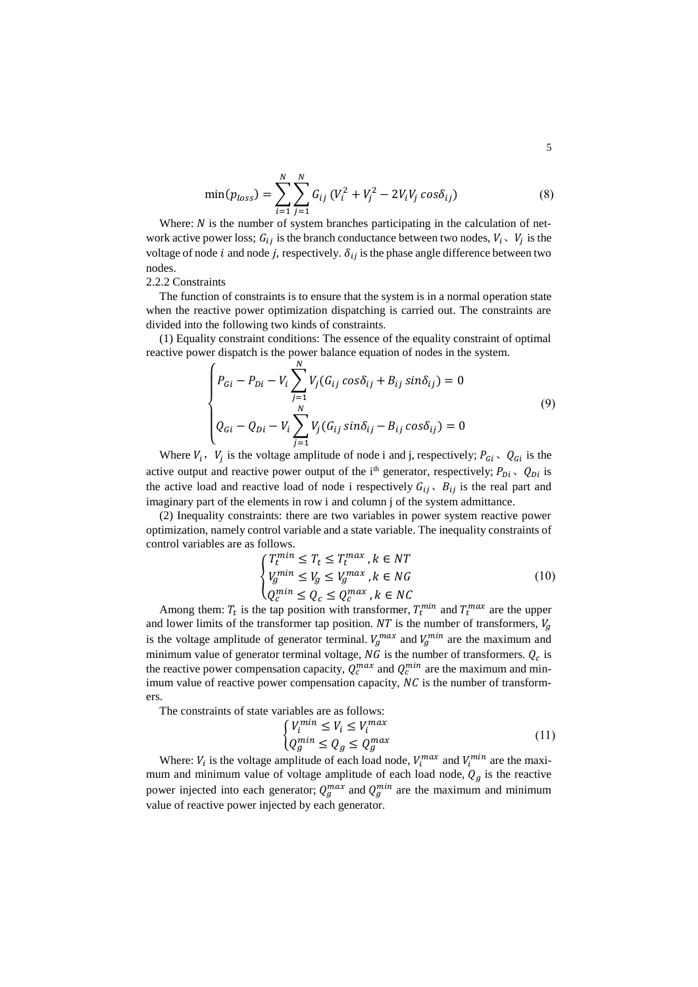$$
\min(p_{loss}) = \sum_{i=1}^{N} \sum_{j=1}^{N} G_{ij} (V_i^2 + V_j^2 - 2V_i V_j \cos \delta_{ij})
$$
\n(8)

Where:  $N$  is the number of system branches participating in the calculation of network active power loss;  $G_{ij}$  is the branch conductance between two nodes,  $V_i$ ,  $V_j$  is the voltage of node *i* and node *j*, respectively.  $\delta_{ij}$  is the phase angle difference between two nodes.

#### 2.2.2 Constraints

The function of constraints is to ensure that the system is in a normal operation state when the reactive power optimization dispatching is carried out. The constraints are divided into the following two kinds of constraints.

(1) Equality constraint conditions: The essence of the equality constraint of optimal reactive power dispatch is the power balance equation of nodes in the system.

$$
\begin{cases}\nP_{Gi} - P_{Di} - V_i \sum_{j=1}^{N} V_j (G_{ij} \cos \delta_{ij} + B_{ij} \sin \delta_{ij}) = 0 \\
Q_{Gi} - Q_{Di} - V_i \sum_{j=1}^{N} V_j (G_{ij} \sin \delta_{ij} - B_{ij} \cos \delta_{ij}) = 0\n\end{cases}
$$
\n(9)

Where  $V_i$ ,  $V_j$  is the voltage amplitude of node i and j, respectively;  $P_{Gi}$ ,  $Q_{Gi}$  is the active output and reactive power output of the i<sup>th</sup> generator, respectively;  $P_{Di}$ ,  $Q_{Di}$  is the active load and reactive load of node i respectively  $G_{ij}$ ,  $B_{ij}$  is the real part and imaginary part of the elements in row i and column j of the system admittance.

(2) Inequality constraints: there are two variables in power system reactive power optimization, namely control variable and a state variable. The inequality constraints of control variables are as follows.

$$
\begin{cases}\nT_t^{min} \le T_t \le T_t^{max}, k \in NT \\
V_g^{min} \le V_g \le V_g^{max}, k \in NG \\
Q_c^{min} \le Q_c \le Q_c^{max}, k \in NC\n\end{cases} \tag{10}
$$

Among them:  $T_t$  is the tap position with transformer,  $T_t^{min}$  and  $T_t^{max}$  are the upper and lower limits of the transformer tap position. NT is the number of transformers,  $V_q$ is the voltage amplitude of generator terminal.  $V_g^{max}$  and  $V_g^{min}$  are the maximum and minimum value of generator terminal voltage,  $NG$  is the number of transformers.  $Q_c$  is the reactive power compensation capacity,  $Q_c^{max}$  and  $Q_c^{min}$  are the maximum and minimum value of reactive power compensation capacity,  $NC$  is the number of transformers.

The constraints of state variables are as follows:

$$
\begin{cases}\nV_i^{min} \le V_i \le V_i^{max} \\
Q_g^{min} \le Q_g \le Q_g^{max}\n\end{cases} \tag{11}
$$

Where:  $V_i$  is the voltage amplitude of each load node,  $V_i^{max}$  and  $V_i^{min}$  are the maximum and minimum value of voltage amplitude of each load node,  $Q<sub>g</sub>$  is the reactive power injected into each generator;  $Q_g^{max}$  and  $Q_g^{min}$  are the maximum and minimum value of reactive power injected by each generator.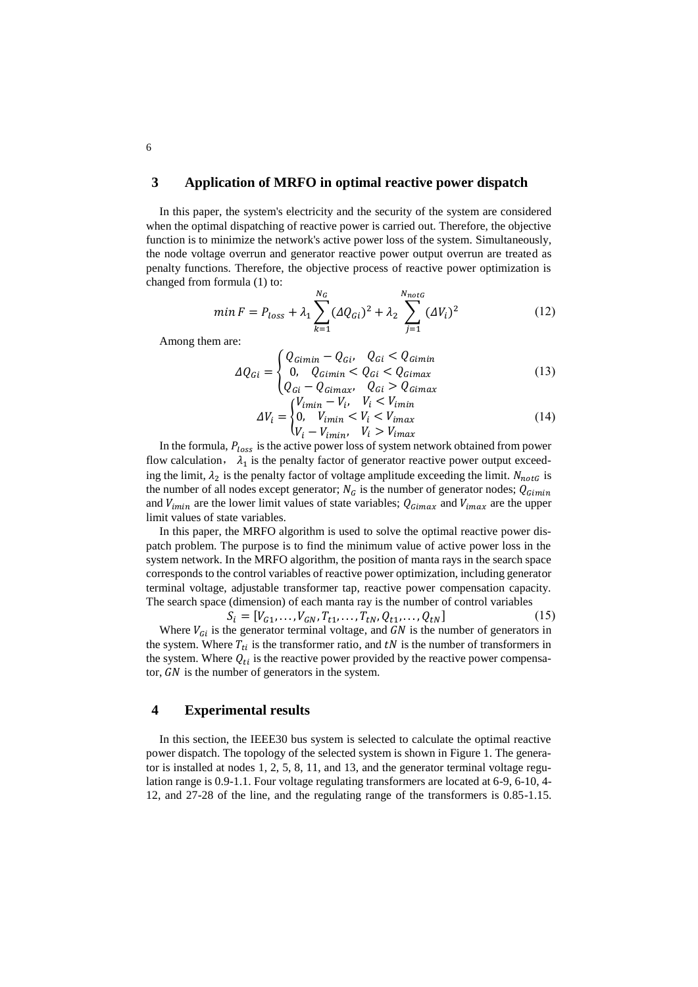# **3 Application of MRFO in optimal reactive power dispatch**

In this paper, the system's electricity and the security of the system are considered when the optimal dispatching of reactive power is carried out. Therefore, the objective function is to minimize the network's active power loss of the system. Simultaneously, the node voltage overrun and generator reactive power output overrun are treated as penalty functions. Therefore, the objective process of reactive power optimization is changed from formula (1) to:

$$
min F = P_{loss} + \lambda_1 \sum_{k=1}^{N_G} (\Delta Q_{Gi})^2 + \lambda_2 \sum_{j=1}^{N_{notG}} (\Delta V_i)^2
$$
 (12)

Among them are:

$$
\Delta Q_{Gi} = \begin{cases} Q_{Gimin} - Q_{Gi'} & Q_{Gi} < Q_{Gimin} \\ 0, & Q_{Gimin} < Q_{Gi} < Q_{Gimax} \\ Q_{Gi} - Q_{Gimax} & Q_{Gi} > Q_{Gimax} \end{cases} \tag{13}
$$

$$
\Delta V_i = \begin{cases} V_{imin} - V_i, & V_i < V_{imin} \\ 0, & V_{imin} < V_i < V_{imax} \\ V_i - V_{imin}, & V_i > V_{imax} \end{cases} \tag{14}
$$

In the formula,  $P_{loss}$  is the active power loss of system network obtained from power flow calculation,  $\lambda_1$  is the penalty factor of generator reactive power output exceeding the limit,  $\lambda_2$  is the penalty factor of voltage amplitude exceeding the limit.  $N_{notG}$  is the number of all nodes except generator;  $N_G$  is the number of generator nodes;  $Q_{Gimin}$ and  $V_{imin}$  are the lower limit values of state variables;  $Q_{Gimax}$  and  $V_{imax}$  are the upper limit values of state variables.

In this paper, the MRFO algorithm is used to solve the optimal reactive power dispatch problem. The purpose is to find the minimum value of active power loss in the system network. In the MRFO algorithm, the position of manta rays in the search space corresponds to the control variables of reactive power optimization, including generator terminal voltage, adjustable transformer tap, reactive power compensation capacity. The search space (dimension) of each manta ray is the number of control variables

 $S_i = [V_{G1}, \ldots, V_{GN}, T_{t1}, \ldots, T_{tN}, Q_{t1}, \ldots, Q_{tN}]$  (15) Where  $V_{Gi}$  is the generator terminal voltage, and  $GN$  is the number of generators in the system. Where  $T_{ti}$  is the transformer ratio, and  $tN$  is the number of transformers in the system. Where  $Q_{ti}$  is the reactive power provided by the reactive power compensator,  $GN$  is the number of generators in the system.

### **4 Experimental results**

In this section, the IEEE30 bus system is selected to calculate the optimal reactive power dispatch. The topology of the selected system is shown in Figure 1. The generator is installed at nodes 1, 2, 5, 8, 11, and 13, and the generator terminal voltage regulation range is 0.9-1.1. Four voltage regulating transformers are located at 6-9, 6-10, 4- 12, and 27-28 of the line, and the regulating range of the transformers is 0.85-1.15.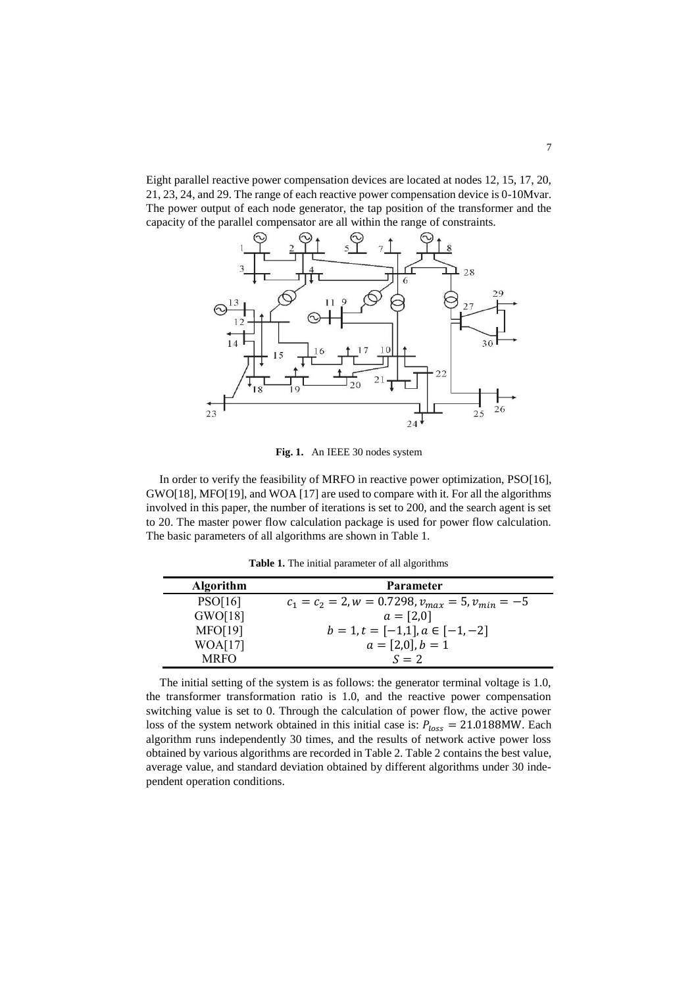Eight parallel reactive power compensation devices are located at nodes 12, 15, 17, 20, 21, 23, 24, and 29. The range of each reactive power compensation device is 0-10Mvar. The power output of each node generator, the tap position of the transformer and the capacity of the parallel compensator are all within the range of constraints.



**Fig. 1.** An IEEE 30 nodes system

In order to verify the feasibility of MRFO in reactive power optimization, PSO[16], GWO[18], MFO[19], and WOA [17] are used to compare with it. For all the algorithms involved in this paper, the number of iterations is set to 200, and the search agent is set to 20. The master power flow calculation package is used for power flow calculation. The basic parameters of all algorithms are shown in Table 1.

**Table 1.** The initial parameter of all algorithms

| <b>Algorithm</b> | Parameter                                              |
|------------------|--------------------------------------------------------|
| PSO[16]          | $c_1 = c_2 = 2, w = 0.7298, v_{max} = 5, v_{min} = -5$ |
| GWO[18]          | $a = [2,0]$                                            |
| <b>MFO[19]</b>   | $b = 1, t = [-1,1], a \in [-1,-2]$                     |
| WOA[17]          | $a = [2,0], b = 1$                                     |
| <b>MRFO</b>      | $S = 2$                                                |

The initial setting of the system is as follows: the generator terminal voltage is 1.0, the transformer transformation ratio is 1.0, and the reactive power compensation switching value is set to 0. Through the calculation of power flow, the active power loss of the system network obtained in this initial case is:  $P_{loss} = 21.0188$ MW. Each algorithm runs independently 30 times, and the results of network active power loss obtained by various algorithms are recorded in Table 2. Table 2 contains the best value, average value, and standard deviation obtained by different algorithms under 30 independent operation conditions.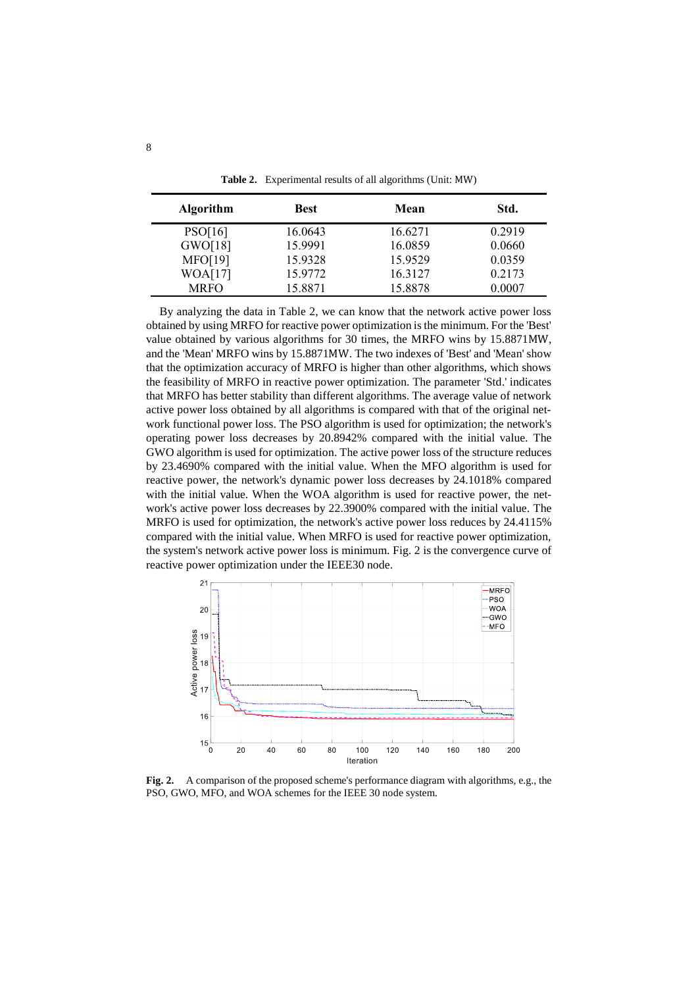| <b>Algorithm</b> | <b>Best</b> | Mean    | Std.   |
|------------------|-------------|---------|--------|
| PSO[16]          | 16.0643     | 16.6271 | 0.2919 |
| GWO[18]          | 15.9991     | 16.0859 | 0.0660 |
| <b>MFO[19]</b>   | 15.9328     | 15.9529 | 0.0359 |
| WOA[17]          | 15.9772     | 16.3127 | 0.2173 |
| <b>MRFO</b>      | 15.8871     | 15.8878 | 0.0007 |

**Table 2.** Experimental results of all algorithms (Unit: MW)

By analyzing the data in Table 2, we can know that the network active power loss obtained by using MRFO for reactive power optimization is the minimum. For the 'Best' value obtained by various algorithms for 30 times, the MRFO wins by 15.8871MW, and the 'Mean' MRFO wins by 15.8871MW. The two indexes of 'Best' and 'Mean' show that the optimization accuracy of MRFO is higher than other algorithms, which shows the feasibility of MRFO in reactive power optimization. The parameter 'Std.' indicates that MRFO has better stability than different algorithms. The average value of network active power loss obtained by all algorithms is compared with that of the original network functional power loss. The PSO algorithm is used for optimization; the network's operating power loss decreases by 20.8942% compared with the initial value. The GWO algorithm is used for optimization. The active power loss of the structure reduces by 23.4690% compared with the initial value. When the MFO algorithm is used for reactive power, the network's dynamic power loss decreases by 24.1018% compared with the initial value. When the WOA algorithm is used for reactive power, the network's active power loss decreases by 22.3900% compared with the initial value. The MRFO is used for optimization, the network's active power loss reduces by 24.4115% compared with the initial value. When MRFO is used for reactive power optimization, the system's network active power loss is minimum. Fig. 2 is the convergence curve of reactive power optimization under the IEEE30 node.



**Fig. 2.** A comparison of the proposed scheme's performance diagram with algorithms, e.g., the PSO, GWO, MFO, and WOA schemes for the IEEE 30 node system.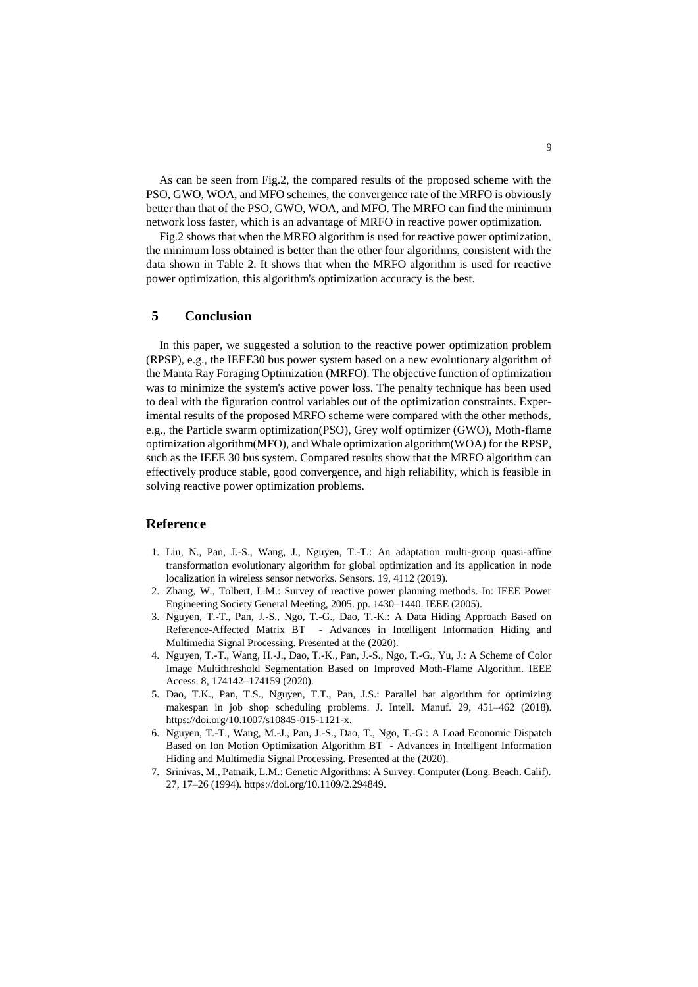As can be seen from Fig.2, the compared results of the proposed scheme with the PSO, GWO, WOA, and MFO schemes, the convergence rate of the MRFO is obviously better than that of the PSO, GWO, WOA, and MFO. The MRFO can find the minimum network loss faster, which is an advantage of MRFO in reactive power optimization.

Fig.2 shows that when the MRFO algorithm is used for reactive power optimization, the minimum loss obtained is better than the other four algorithms, consistent with the data shown in Table 2. It shows that when the MRFO algorithm is used for reactive power optimization, this algorithm's optimization accuracy is the best.

### **5 Conclusion**

In this paper, we suggested a solution to the reactive power optimization problem (RPSP), e.g., the IEEE30 bus power system based on a new evolutionary algorithm of the Manta Ray Foraging Optimization (MRFO). The objective function of optimization was to minimize the system's active power loss. The penalty technique has been used to deal with the figuration control variables out of the optimization constraints. Experimental results of the proposed MRFO scheme were compared with the other methods, e.g., the Particle swarm optimization(PSO), Grey wolf optimizer (GWO), Moth-flame optimization algorithm(MFO), and Whale optimization algorithm(WOA) for the RPSP, such as the IEEE 30 bus system. Compared results show that the MRFO algorithm can effectively produce stable, good convergence, and high reliability, which is feasible in solving reactive power optimization problems.

# **Reference**

- 1. Liu, N., Pan, J.-S., Wang, J., Nguyen, T.-T.: An adaptation multi-group quasi-affine transformation evolutionary algorithm for global optimization and its application in node localization in wireless sensor networks. Sensors. 19, 4112 (2019).
- 2. Zhang, W., Tolbert, L.M.: Survey of reactive power planning methods. In: IEEE Power Engineering Society General Meeting, 2005. pp. 1430–1440. IEEE (2005).
- 3. Nguyen, T.-T., Pan, J.-S., Ngo, T.-G., Dao, T.-K.: A Data Hiding Approach Based on Reference-Affected Matrix BT - Advances in Intelligent Information Hiding and Multimedia Signal Processing. Presented at the (2020).
- 4. Nguyen, T.-T., Wang, H.-J., Dao, T.-K., Pan, J.-S., Ngo, T.-G., Yu, J.: A Scheme of Color Image Multithreshold Segmentation Based on Improved Moth-Flame Algorithm. IEEE Access. 8, 174142–174159 (2020).
- 5. Dao, T.K., Pan, T.S., Nguyen, T.T., Pan, J.S.: Parallel bat algorithm for optimizing makespan in job shop scheduling problems. J. Intell. Manuf. 29, 451–462 (2018). https://doi.org/10.1007/s10845-015-1121-x.
- 6. Nguyen, T.-T., Wang, M.-J., Pan, J.-S., Dao, T., Ngo, T.-G.: A Load Economic Dispatch Based on Ion Motion Optimization Algorithm BT - Advances in Intelligent Information Hiding and Multimedia Signal Processing. Presented at the (2020).
- 7. Srinivas, M., Patnaik, L.M.: Genetic Algorithms: A Survey. Computer (Long. Beach. Calif). 27, 17–26 (1994). https://doi.org/10.1109/2.294849.